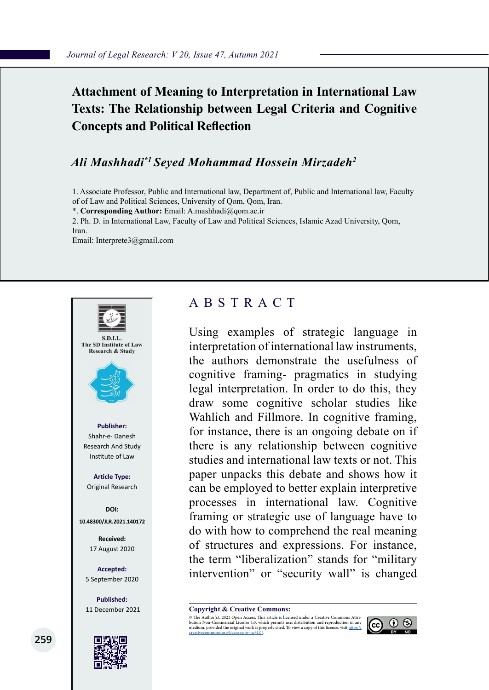# **Attachment of Meaning to Interpretation in International Law Texts: The Relationship between Legal Criteria and Cognitive Concepts and Political Reflection**

## *Ali Mashhadi\*1 Seyed Mohammad Hossein Mirzadeh2*

1. Associate Professor, Public and International law, Department of, Public and International law, Faculty of of Law and Political Sciences, University of Qom, Qom, Iran.

\*. **Corresponding Author:** Email: A.mashhadi@qom.ac.ir

2. Ph. D. in International Law, Faculty of Law and Political Sciences, Islamic Azad University, Qom,

Iran.

Email: Interprete3@gmail.com



## ABSTRACT

Using examples of strategic language in interpretation of international law instruments, the authors demonstrate the usefulness of cognitive framing- pragmatics in studying legal interpretation. In order to do this, they draw some cognitive scholar studies like Wahlich and Fillmore. In cognitive framing, for instance, there is an ongoing debate on if there is any relationship between cognitive studies and international law texts or not. This paper unpacks this debate and shows how it can be employed to better explain interpretive processes in international law. Cognitive framing or strategic use of language have to do with how to comprehend the real meaning of structures and expressions. For instance, the term "liberalization" stands for "military intervention" or "security wall" is changed

**Copyright & Creative Commons:**<br>© The Author(s). 2021 Open Access. This article is licensed under a Creative Commons Attri-

© The Author(s). 2021 Open Access. This article is licensed under a Creative Commons Attri- bution Non-Commercial License 4.0, which permits use, distribution and reproduction in any medium, provided the original work is properly cited. To view a copy of this licence, visit https://<br>creativecommons.org/licenses/by-nc/4.0/.

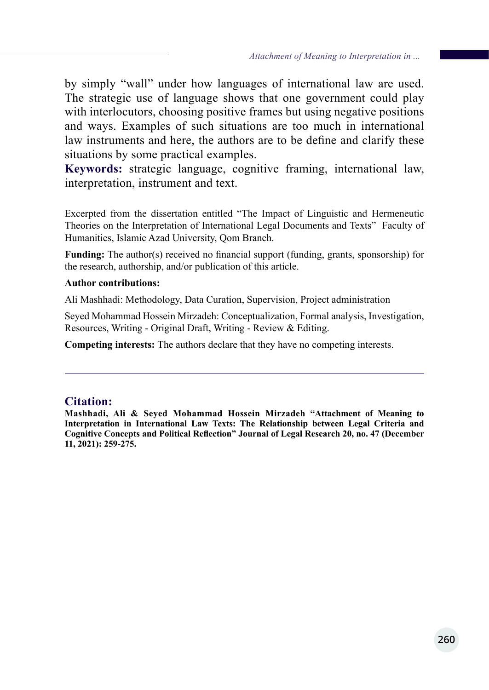by simply "wall" under how languages of international law are used. The strategic use of language shows that one government could play with interlocutors, choosing positive frames but using negative positions and ways. Examples of such situations are too much in international law instruments and here, the authors are to be define and clarify these situations by some practical examples.

**Keywords:** strategic language, cognitive framing, international law, interpretation, instrument and text.

Excerpted from the dissertation entitled "The Impact of Linguistic and Hermeneutic Theories on the Interpretation of International Legal Documents and Texts" Faculty of Humanities, Islamic Azad University, Qom Branch.

**Funding:** The author(s) received no financial support (funding, grants, sponsorship) for the research, authorship, and/or publication of this article.

### **Author contributions:**

Ali Mashhadi: Methodology, Data Curation, Supervision, Project administration

Seyed Mohammad Hossein Mirzadeh: Conceptualization, Formal analysis, Investigation, Resources, Writing - Original Draft, Writing - Review & Editing.

**Competing interests:** The authors declare that they have no competing interests.

### **Citation:**

**Mashhadi, Ali & Seyed Mohammad Hossein Mirzadeh "Attachment of Meaning to Interpretation in International Law Texts: The Relationship between Legal Criteria and Cognitive Concepts and Political Reflection" Journal of Legal Research 20, no. 47 (December 11, 2021): 259-275.**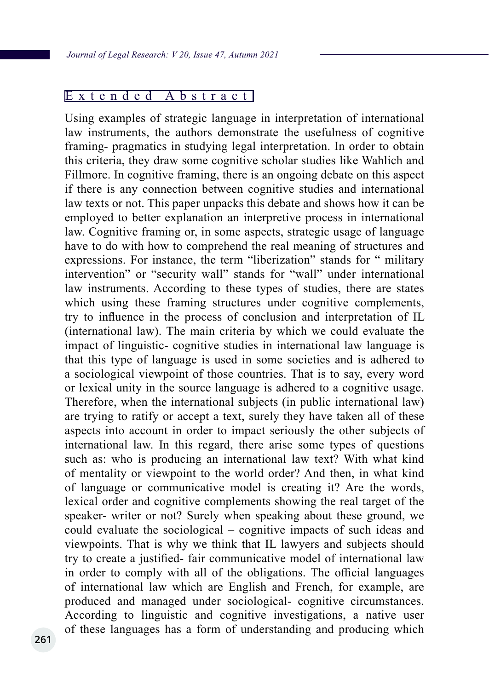### Extended Abstract

Using examples of strategic language in interpretation of international law instruments, the authors demonstrate the usefulness of cognitive framing- pragmatics in studying legal interpretation. In order to obtain this criteria, they draw some cognitive scholar studies like Wahlich and Fillmore. In cognitive framing, there is an ongoing debate on this aspect if there is any connection between cognitive studies and international law texts or not. This paper unpacks this debate and shows how it can be employed to better explanation an interpretive process in international law. Cognitive framing or, in some aspects, strategic usage of language have to do with how to comprehend the real meaning of structures and expressions. For instance, the term "liberization" stands for " military intervention" or "security wall" stands for "wall" under international law instruments. According to these types of studies, there are states which using these framing structures under cognitive complements, try to influence in the process of conclusion and interpretation of IL (international law). The main criteria by which we could evaluate the impact of linguistic- cognitive studies in international law language is that this type of language is used in some societies and is adhered to a sociological viewpoint of those countries. That is to say, every word or lexical unity in the source language is adhered to a cognitive usage. Therefore, when the international subjects (in public international law) are trying to ratify or accept a text, surely they have taken all of these aspects into account in order to impact seriously the other subjects of international law. In this regard, there arise some types of questions such as: who is producing an international law text? With what kind of mentality or viewpoint to the world order? And then, in what kind of language or communicative model is creating it? Are the words, lexical order and cognitive complements showing the real target of the speaker- writer or not? Surely when speaking about these ground, we could evaluate the sociological – cognitive impacts of such ideas and viewpoints. That is why we think that IL lawyers and subjects should try to create a justified- fair communicative model of international law in order to comply with all of the obligations. The official languages of international law which are English and French, for example, are produced and managed under sociological- cognitive circumstances. According to linguistic and cognitive investigations, a native user of these languages has a form of understanding and producing which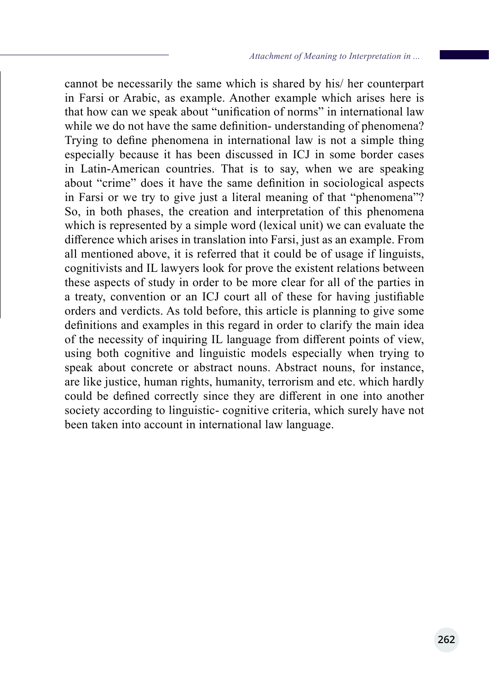cannot be necessarily the same which is shared by his/ her counterpart in Farsi or Arabic, as example. Another example which arises here is that how can we speak about "unification of norms" in international law while we do not have the same definition- understanding of phenomena? Trying to define phenomena in international law is not a simple thing especially because it has been discussed in ICJ in some border cases in Latin-American countries. That is to say, when we are speaking about "crime" does it have the same definition in sociological aspects in Farsi or we try to give just a literal meaning of that "phenomena"? So, in both phases, the creation and interpretation of this phenomena which is represented by a simple word (lexical unit) we can evaluate the difference which arises in translation into Farsi, just as an example. From all mentioned above, it is referred that it could be of usage if linguists, cognitivists and IL lawyers look for prove the existent relations between these aspects of study in order to be more clear for all of the parties in a treaty, convention or an ICJ court all of these for having justifiable orders and verdicts. As told before, this article is planning to give some definitions and examples in this regard in order to clarify the main idea of the necessity of inquiring IL language from different points of view, using both cognitive and linguistic models especially when trying to speak about concrete or abstract nouns. Abstract nouns, for instance, are like justice, human rights, humanity, terrorism and etc. which hardly could be defined correctly since they are different in one into another society according to linguistic- cognitive criteria, which surely have not been taken into account in international law language.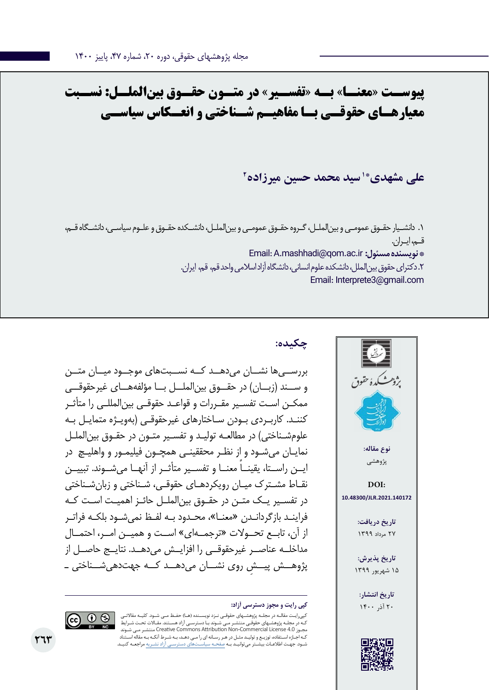**پیوســت »معنــا« بــه »تفســیر« در متــون حقــوق بینالملــل: نســبت معیارهـای حقوقـی بـا مفاهیـم شـناختی و انعـکاس سیاسـی**

**2 \*1 سید محمد حسین میرزاده علی مشهدی**

.1 دانشـیار حقـوق عمومـی و بینالملـل، گـروه حقـوق عمومـی و بینالملـل، دانشـکده حقـوق و علـوم سیاسـی، دانشـگاه قـم، قـم، ایـران. Email: A.mashhadi@qom.ac.ir **:مسئول نویسنده\***  .2 دکترای حقوق بینالملل، دانشکده علوم انسانی، دانشگاه آزاد اسالمی واحد قم، قم، ایران. Email: Interprete3@gmail.com



## **چکیده:**

بررســیها نشــان میدهــد کــه نســبتهای موجــود میــان متــن و ســند (زبــان) در حقــوق بین|لملــل بــا مؤلفههــای غیرحقوقــی ممکـن اسـت تفسـیر مقـررات و قواعـد حقوقـی بینالمللـی را متأثـر کننـد. کاربـردی بـودن سـاختارهای غیرحقوقـی )بهویـژه متمایـل بـه علومشـناختی) در مطالعـه تولیـد و تفسـیر متـون در حقـوق بین|لملـل نمایـان میشـود و از نظـر محققینـی همچـون فیلیمـور و واهلیـچ در ً ایــن راســتا، یقینــا معنــا و تفســیر متأثــر از آنهــا میشــوند. تبییــن نقـاط مشـترک میـان رویکردهـای حقوقـی، شـناختی و زبانشـناختی در تفسـیر یـک متـن در حقـوق بینالملـل حائـز اهمیـت اسـت کـه فراینـد بازگردانـدن »معنـا«، محـدود بـه لفـظ نمیشـود بلکـه فراتـر از آن، تابــع تحــوالت »ترجمــهای« اســت و همیــن امــر، احتمــال مداخلــه عناصــر غیرحقوقــی را افزایــش میدهــد. نتایــج حاصــل از ِ پژوهــش پیــش روی نشــان میدهــد کــه جهتدهیشــناختی ـ

کپیرایـت مقالـه در مجلـه پژوهشـهای حقوقـی نـزد نویسـنده )هـا( حفـظ مـی شـود. کلیـه مقاالتـی ـهای حقوقـی منتشـر مـی شـوند بـا دسترسـی آزاد هسـتند. مقـالات تحـت شـرایط شـوند مـی منتشـر Creative Commons Attribution Non-Commercial License 4.0 مجـوز کـه اجـازه اسـتفاده، توزیـع و تولیـد مثـل در هـر رسـانه ای را مـی دهـد، بـه شـرط آنکـه بـه مقاله اسـتناد شـود. جهـت اطالعـات بیشـتر میتوانیـد بـه صفحـه سیاسـتهای دسترسـی آزاد نشـریه مراجعـه کنیـد.

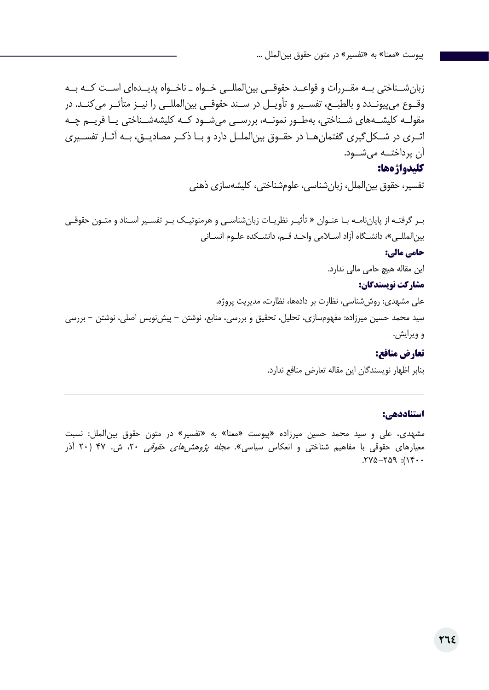زبانشــناختی بــه مقــررات و قواعــد حقوقــی بینالمللــی خــواه ـ ناخــواه پدیــدهای اســت کــه بــه وقــوع میپیونــدد و بالطبــع، تفســیر و تأویــل در ســند حقوقــی بینالمللــی را نیــز متأثــر میکنــد. در مقولــه کلیشــههای شــناختی، بهطــور نمونــه، بررســی میشــود کــه کلیشهشــناختی یــا فریــم چــه اثــری در شــکلگیری گفتمانهــا در حقــوق بینالملــل دارد و بــا ذکــر مصادیــق، بــه آثــار تفســیری آن پرداختــه میشــود.

### **کلیدواژهها:**

تفسیر، حقوق بینالملل، زبانشناسی، علومشناختی، کلیشهسازی ذهنی

بـر گرفتـه از پایاننامـه بـا عنـوان » تأثیـر نظریـات زبانشناسـی و هرمنوتیـک بـر تفسـیر اسـناد و متـون حقوقـی بین|لمللـی»، دانشـگاه آزاد اسـلامی واحـد قـم، دانشـکده علـوم انسـانی **حامی مالی:** این مقاله هیچ حامی مالی ندارد. **مشارکت نویسندگان:**  علی مشهدی: روششناسی، نظارت بر دادهها، نظارت، مدیریت پروژه. سید محمد حسین میرزاده: مفهومسازی، تحلیل، تحقیق و بررسی، منابع، نوشتن - پیشنویس اصلی، نوشتن - بررسی و ویرایش.

### **تعارض منافع:**

بنابر اظهار نویسندگان این مقاله تعارض منافع ندارد.

### **استناددهی:**

مشهدی، علی و سید محمد حسین میرزاده »پیوست »معنا« به »تفسیر« در متون حقوق بینالملل: نسبت معیارهای حقوقی با مفاهیم شناختی و انعکاس سیاسی». *مجله پژوهشهای حقوقی* ۲۰، ش. ۴۷ (۲۰ آذر  $.770.709$ :  $.709$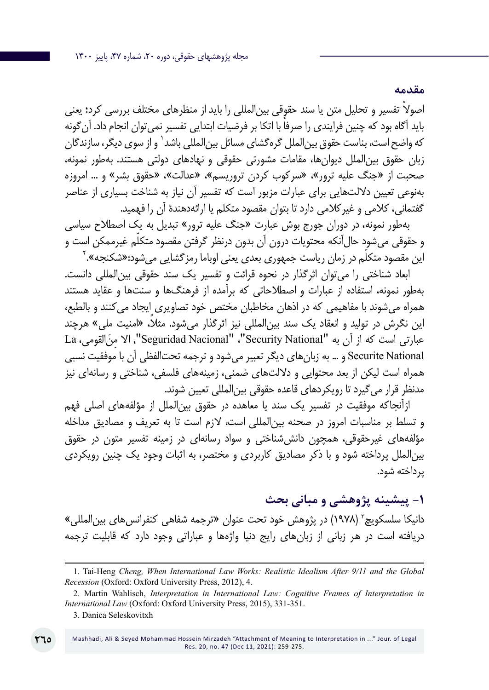ً اصوال تفسیر و تحلیل متن یا سند حقوقی بینالمللی را باید از منظرهای مختلف بررسی کرد؛ یعنی ً باید آگاه بود که چنین فرایندی را صرفا با اتکا بر فرضیات ابتدایی تفسیر نمیتوان انجام داد. آنگونه که واضح است، بناست حقوق بین|لملل گرهگشای مسائل بین|لمللی باشد` و از سوی دیگر، سازندگان زبان حقوق بینالملل دیوانها، مقامات مشورتی حقوقی و نهادهای دولتی هستند. بهطور نمونه، صحبت از »جنگ علیه ترور«، »سرکوب کردن تروریسم«، »عدالت«، »حقوق بشر« و ... امروزه بهنوعی تعیین داللتهایی برای عبارات مزبور است که تفسیر آن نیاز به شناخت بسیاری از عناصر گفتمانی، کالمی و غیرکالمی دارد تا بتوان مقصود متکلم یا ارائهدهندة آن را فهمید.

بهطور نمونه، در دوران جورج بوش عبارت »جنگ علیه ترور« تبدیل به یک اصطالح سیاسی ّم غیرممکن است و و حقوقی میشود حالآنکه محتویات درون آن بدون درنظر گرفتن مقصود متکل این مقصود متکلّم در زمان ریاست جمهوری بعدی یعنی اوباما رمزگشایی میشود:«شکنجه».<sup>۲</sup>

ابعاد شناختی را میتوان اثرگذار در نحوه قرائت و تفسیر یک سند حقوقی بینالمللی دانست. بهطور نمونه، استفاده از عبارات و اصطالحاتی که برآمده از فرهنگها و سنتها و عقاید هستند همراه میشوند با مفاهیمی که در اذهان مخاطبان مختص خود تصاویری ایجاد میکنند و بالطبع، این نگرش در تولید و انعقاد یک سند بینالمللی نیز اثرگذار می ً شود. مثال، »امنیت ملی« هرچند عبارتی است که از آن به "Security National"، "Seguridad Nacional"، الا من القومی، La Securite National و ... به زبان های دیگر تعبیر می شود و ترجمه تحتالفظی آن با موفقیت نسبی همراه است لیکن از بعد محتوایی و داللتهای ضمنی، زمینههای فلسفی، شناختی و رسانهای نیز مدنظر قرار میگیرد تا رویکردهای قاعده حقوقی بینالمللی تعیین شوند.

ازآنجاکه موفقیت در تفسیر یک سند یا معاهده در حقوق بینالملل از مؤلفههای اصلی فهم و تسلط بر مناسبات امروز در صحنه بینالمللی است، الزم است تا به تعریف و مصادیق مداخله مؤلفههای غیرحقوقی، همچون دانششناختی و سواد رسانهای در زمینه تفسیر متون در حقوق بینالملل پرداخته شود و با ذکر مصادیق کاربردی و مختصر، به اثبات وجود یک چنین رویکردی پرداخته شود.

**-1 پیشینه پژوهشی و مبانی بحث**

**مقدمه**

دانیکا سلسکویچ ّ (۱۹۷۸) در پژوهش خود تحت عنوان «ترجمه شفاهی کنفرانسهای بین|لمللی» دریافته است در هر زبانی از زبانهای رایج دنیا واژهها و عباراتی وجود دارد که قابلیت ترجمه

<sup>1.</sup> Tai-Heng *Cheng, When International Law Works: Realistic Idealism After 9/11 and the Global Recession* (Oxford: Oxford University Press, 2012), 4.

<sup>2.</sup> Martin Wahlisch, *Interpretation in International Law: Cognitive Frames of Interpretation in International Law* (Oxford: Oxford University Press, 2015), 331-351.

<sup>3.</sup> Danica Seleskovitxh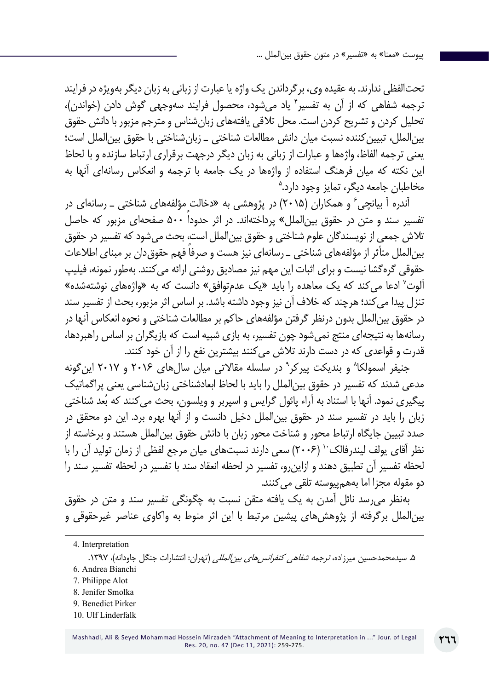تحتالفظی ندارند. به عقیده وی، برگرداندن یک واژه یا عبارت از زبانی به زبان دیگر بهویژه در فرایند ترجمه شفاهی که از آن به تفسیر ٔ یاد میشود، محصول فرایند سهوجهی گوش دادن (خواندن)، تحلیل کردن و تشریح کردن است. محل تالقی یافتههای زبانشناس و مترجم مزبور با دانش حقوق بینالملل، تبیینکننده نسبت میان دانش مطالعات شناختی ـ زبانشناختی با حقوق بینالملل است؛ یعنی ترجمه الفاظ، واژهها و عبارات از زبانی به زبان دیگر درجهت برقراری ارتباط سازنده و با لحاظ 5 این نکته که میان فرهنگ استفاده از واژهها در یک جامعه با ترجمه و انعکاس رسانهای آنها به مخاطبان جامعه دیگر، تمایز وجود دارد.

آندره آ بیانچی ٔ و همکاران (۲۰۱۵) در پژوهشی به «دخالت مؤلفههای شناختی ــ رسانهای در تفسیر سند و متن در حقوق بینالملل« پرداختهاند. در اثر حدوداً 500 صفحهای مزبور که حاصل تالش جمعی از نویسندگان علوم شناختی و حقوق بینالملل است، بحث میشود که تفسیر در حقوق بین|لملل متأثر از مؤلفههای شناختی ـ رسانهای نیز هست و صرفا فهم حقوق دان بر مبنای اطلاعات حقوقی گرهگشا نیست و برای اثبات این مهم نیز مصادیق روشنی ارائه میکنند. بهطور نمونه، فیلیپ آلوت<sup>۷</sup> ادعا می کند که یک معاهده را باید «یک عدم¤وافق» دانست که به «واژههای نوشتهشده» تنزل پیدا می کند؛ هرچند که خلاف آن نیز وجود داشته باشد. بر اساس اثر مزبور، بحث از تفسیر سند در حقوق بینالملل بدون درنظر گرفتن مؤلفههای حاکم بر مطالعات شناختی و نحوه انعکاس آنها در رسانهها به نتیجهای منتج نمیشود چون تفسیر، به بازی شبیه است که بازیگران بر اساس راهبردها، قدرت و قواعدی که در دست دارند تالش میکنند بیشترین نفع را از آن خود کنند.

جنیفر اسمولکا<sup>۸</sup> و بندیکت پیرکر<sup>۹</sup> در سلسله مقالاتی میان سالهای ۲۰۱۶ و ۲۰۱۷ اینگونه مدعی شدند که تفسیر در حقوق بینالملل را باید با لحاظ ابعادشناختی زبانشناسی یعنی پراگماتیک پیگیری نمود. آنها با استناد به آراء پائول گرایس و اسپربر و ویلسون، بحث می کنند که بُعد شناختی زبان را باید در تفسیر سند در حقوق بینالملل دخیل دانست و از آنها بهره برد. این دو محقق در صدد تبیین جایگاه ارتباط محور و شناخت محور زبان با دانش حقوق بینالملل هستند و برخاسته از نظر آقای یولف لیندرفالک<sup>۱۰</sup> (۲۰۰۶) سعی دارند نسبتهای میان مرجع لفظی از زمان تولید آن را با لحظه تفسیر آن تطبیق دهند و ازاینرو، تفسیر در لحظه انعقاد سند با تفسیر در لحظه تفسیر سند را دو مقوله مجزا اما بههمپیوسته تلقی می کنند.

بهنظر میرسد نائل آمدن به یک یافته متقن نسبت به چگونگی تفسیر سند و متن در حقوق بینالملل برگرفته از پژوهشهای پیشین مرتبط با این اثر منوط به واکاوی عناصر غیرحقوقی و

- 7. Philippe Alot
- 8. Jenifer Smolka
- 9. Benedict Pirker
- 10. Ulf Linderfalk

<sup>4.</sup> Interpretation

۵. سیدمحمدحسین میرزاده، *ترجمه شفاهی کنفرانسهای بین المللی* (تهران: انتشارات جنگل جاودانه)، ۱۳۹۷. 6. Andrea Bianchi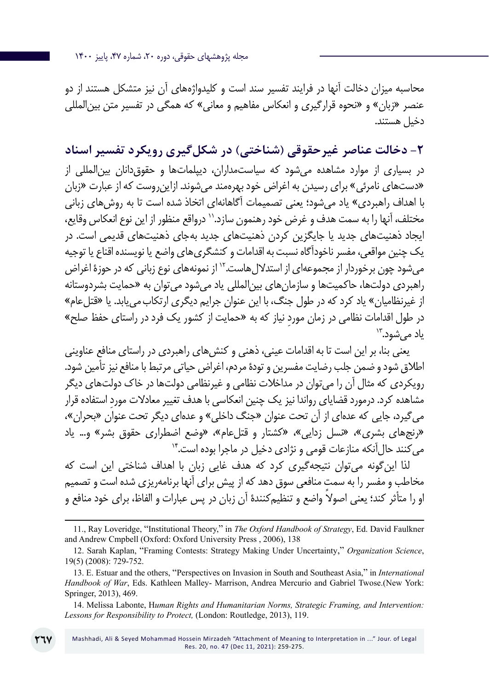مجله پژوهشهای حقوقی، دوره ،20 شماره ،47 پاییز 1400

محاسبه میزان دخالت آنها در فرایند تفسیر سند است و کلیدواژههای آن نیز متشکل هستند از دو عنصر «زبان» و «نحوه قرارگیری و انعکاس مفاهیم و معانی» که همگی در تفسیر متن بین|لمللی دخیل هستند.

**-2 دخالت عناصر غیرحقوقی )شناختی( در شکلگیری رویکرد تفسیر اسناد** در بسیاری از موارد مشاهده میشود که سیاستمداران، دیپلماتها و حقوقدانان بینالمللی از »دستهای نامرئی« برای رسیدن به اغراض خود بهرهمند میشوند. ازاینروست که از عبارت »زبان با اهداف راهبردی» یاد می شود؛ یعنی تصمیمات آگاهانهای اتخاذ شده است تا به روش های زبانی مختلف، آنها را به سمت هدف و غرض خود رهنمون سازد11. درواقع منظور از این نوع انعکاس وقایع، ایجاد ذهنیتهای جدید یا جایگزین کردن ذهنیتهای جدید بهجای ذهنیتهای قدیمی است. در یک چنین مواقعی، مفسر ناخودآگاه نسبت به اقدامات و کنشگریهای واضع یا نویسنده اقناع یا توجیه می شود چون برخوردار از مجموعهای از استدلال هاست." از نمونههای نوع زبانی که در حوزهٔ اغراض راهبردی دولتها، حاکمیتها و سازمانهای بینالمللی یاد میشود میتوان به »حمایت بشردوستانه از غیرنظامیان« یاد کرد که در طول جنگ، با این عنوان جرایم دیگری ارتکابمییابد. یا »قتلعام« در طول اقدامات نظامی در زمان موردِ نیاز که به «حمایت از کشور یک فرد در راستای حفظ صلح»<br>یاد می شود.<sup>۱۲</sup>

یعنی بنا، بر این است تا به اقدامات عینی، ذهنی و کنشهای راهبردی در راستای منافع عناوینی اطالق شود و ضمن جلب رضایت مفسرین و تودة مردم، اغراض حیاتی مرتبط با منافع نیز تأمین شود. رویکردی که مثال آن را میتوان در مداخالت نظامی و غیرنظامی دولتها در خاک دولتهای دیگر ِ مشاهده کرد. درمورد قضایای رواندا نیز یک چنین انعکاسی با هدف تغییر معادالت مورد استفاده قرار میگیرد، جایی که عدهای از آن تحت عنوان »جنگ داخلی« و عدهای دیگر تحت عنوان »بحران«، »رنجهای بشری«، »نسل زدایی«، »کشتار و قتلعام«، »وضع اضطراری حقوق بشر« و... یاد می کنند حال آنکه منازعات قومی و نژادی دخیل در ماجرا بوده است.<sup>۱۴</sup>

لذا اینگونه میتوان نتیجهگیری کرد که هدف غایی زبان با اهداف شناختی این است که مخاطب و مفسر را به سمت منافعی سوق دهد که از پیش برای آنها برنامهریزی شده است و تصمیم ً او را متأثر کند؛ یعنی اصوال واضع و تنظیمکنندة آن زبان در پس عبارات و الفاظ، برای خود منافع و

14. Melissa Labonte, H*uman Rights and Humanitarian Norms, Strategic Framing, and Intervention: Lessons for Responsibility to Protect,* (London: Routledge, 2013), 119.

<sup>11.,</sup> Ray Loveridge, "Institutional Theory," in *The Oxford Handbook of Strategy*, Ed. David Faulkner and Andrew Cmpbell (Oxford: Oxford University Press , 2006), 138

<sup>12.</sup> Sarah Kaplan, "Framing Contests: Strategy Making Under Uncertainty," *Organization Science*, 19(5) (2008): 729-752.

<sup>13.</sup> E. Estuar and the others, "Perspectives on Invasion in South and Southeast Asia," in *International Handbook of War*, Eds. Kathleen Malley- Marrison, Andrea Mercurio and Gabriel Twose.(New York: Springer, 2013), 469.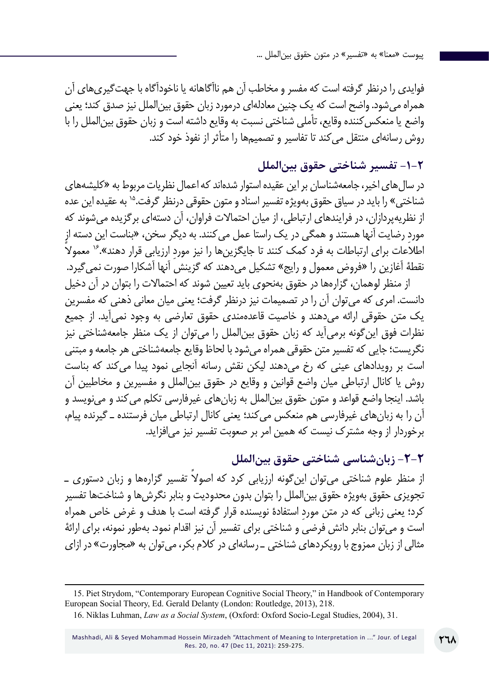فوایدی را درنظر گرفته است که مفسر و مخاطب آن هم ناآگاهانه یا ناخودآگاه با جهتگیریهای آن همراه میشود. واضح است که یک چنین معادلهای درمورد زبان حقوق بینالملل نیز صدق کند؛ یعنی واضع یا منعکس کننده وقایع، تأملی شناختی نسبت به وقایع داشته است و زبان حقوق بین|لملل را با روش رسانهای منتقل میکند تا تفاسیر و تصمیمها را متأثر از نفوذ خود کند.

## **-1-2 تفسیر شناختی حقوق بینالملل**

در سالهای اخیر، جامعهشناسان بر این عقیده استوار شدهاند که اعمال نظریات مربوط به »کلیشههای شناختی» را باید در سیاق حقوق بهویژه تفسیر اسناد و متون حقوقی درنظر گرفت.<sup>۱۵</sup> به عقیده این عده از نظریهپردازان، در فرایندهای ارتباطی، از میان احتماالت فراوان، آن دستهای برگزیده میشوند که ِ مورد رضایت آنها هستند و همگی در یک راستا عمل میکنند. به دیگر سخن، »بناست این دسته از اطلاعات برای ارتباطات به فرد کمک کنند تا جایگزینِ ها را نیز مورد ارزیابی قرار دهند».<sup>۱۶</sup> معمولا نقطة آغازین را »فروض معمول و رایج« تشکیل میدهند که گزینش آنها آشکارا صورت نمیگیرد.

از منظر لوهمان، گزارهها در حقوق بهنحوی باید تعیین شوند که احتماالت را بتوان در آن دخیل دانست. امری که میتوان آن را در تصمیمات نیز درنظر گرفت؛ یعنی میان معانی ذهنی که مفسرین یک متن حقوقی ارائه میدهند و خاصیت قاعدهمندی حقوق تعارضی به وجود نمیآید. از جمیع نظرات فوق اینگونه برمیآید که زبان حقوق بینالملل را میتوان از یک منظر جامعهشناختی نیز نگریست؛ جایی که تفسیر متن حقوقی همراه میشود با لحاظ وقایع جامعهشناختی هر جامعه و مبتنی است بر رویدادهای عینی که رخ میدهند لیکن نقش رسانه آنجایی نمود پیدا میکند که بناست روش یا کانال ارتباطی میان واضع قوانین و وقایع در حقوق بینالملل و مفسیرین و مخاطبین آن باشد. اینجا واضع قواعد و متون حقوق بینالملل به زبانهای غیرفارسی تکلم میکند و مینویسد و آن را به زبانهای غیرفارسی هم منعکس میکند؛ یعنی کانال ارتباطی میان فرستنده ـ گیرنده پیام، برخوردار از وجه مشترک نیست که همین امر بر صعوبت تفسیر نیز میافزاید.

**-2-2 زبانشناسی شناختی حقوق بینالملل**

از منظر علوم شناختی می توان این گونه ارزیابی کرد که اصولاً تفسیر گزارهها و زبان دستوری ــ تجویزی حقوق بهویژه حقوق بینالملل را بتوان بدون محدودیت و بنابر نگرشها و شناختها تفسیر ِ کرد؛ یعنی زبانی که در متن مورد استفادة نویسنده قرار گرفته است با هدف و غرض خاص همراه است و میتوان بنابر دانش فرضی و شناختی برای تفسیر آن نیز اقدام نمود. بهطور نمونه، برای ارائة مثالی از زبان ممزوج با رویکردهای شناختی ـ رسانهای در کالم بکر، میتوان به »مجاورت« در ازای

<sup>15.</sup> Piet Strydom, "Contemporary European Cognitive Social Theory," in Handbook of Contemporary European Social Theory, Ed. Gerald Delanty (London: Routledge, 2013), 218.

<sup>16.</sup> Niklas Luhman, *Law as a Social System*, (Oxford: Oxford Socio-Legal Studies, 2004), 31.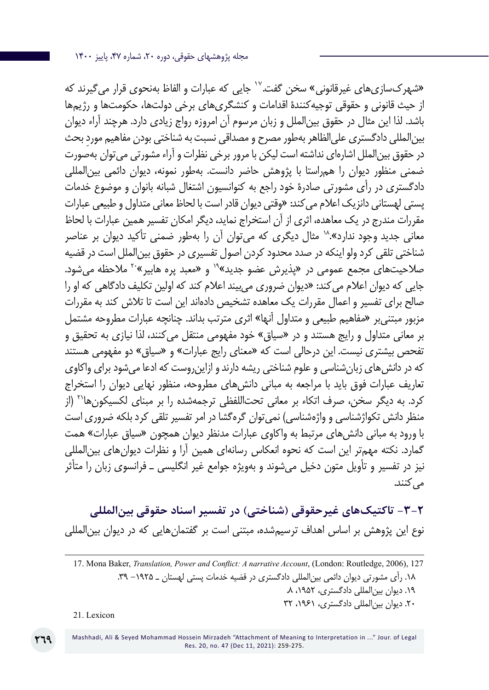»شهرکسازیهای غیرقانونی« سخن گفت<sup>17</sup>. جایی که عبارات و الفاظ بهنحوی قرار میگیرند که از حیث قانونی و حقوقی توجیهکنندة اقدامات و کنشگریهای برخی دولتها، حکومتها و رژیمها باشد. لذا این مثال در حقوق بینالملل و زبان مرسوم آن امروزه رواج زیادی دارد. هرچند آراء دیوان بین|لمللی دادگستری علی|لظاهر به طور مصرح و مصداقی نسبت به شناختی بودن مفاهیم مورد بحث در حقوق بینالملل اشارهای نداشته است لیکن با مرور برخی نظرات و آراء مشورتی میتوان بهصورت ضمنی منظور دیوان را همراستا با پژوهش حاضر دانست. بهطور نمونه، دیوان دائمی بینالمللی دادگستری در رأی مشورتی صادرۀ خود راجع به کنوانسیون اشتغال شبانه بانوان و موضوع خدمات پستی لهستانی دانزیک اعالم میکند: »وقتی دیوان قادر است با لحاظ معانی متداول و طبیعی عبارات مقررات مندرج در یک معاهده، اثری از آن استخراج نماید، دیگر امکان تفسیر همین عبارات با لحاظ معانی جدید وجود ندارد«18. مثال دیگری که میتوان آن را بهطور ضمنی تأکید دیوان بر عناصر شناختی تلقی کرد ولو اینکه در صدد محدود کردن اصول تفسیری در حقوق بینالملل است در قضیه صلاحیتهای مجمع عمومی در «پذیرش عضو جدید»<sup>۹</sup>۰ و «معبد پره هابیر»<sup>۲۰</sup> ملاحظه می شود. جایی که دیوان اعالم میکند: »دیوان ضروری میبیند اعالم کند که اولین تکلیف دادگاهی که او را صالح برای تفسیر و اعمال مقررات یک معاهده تشخیص دادهاند این است تا تالش کند به مقررات مزبور مبتنیبر »مفاهیم طبیعی و متداول آنها« اثری مترتب بداند. چنانچه عبارات مطروحه مشتمل بر معانی متداول و رایج هستند و در »سیاق« خود مفهومی منتقل میکنند، لذا نیازی به تحقیق و تفحص بیشتری نیست. این درحالی است که «معنای رایج عبارات» و «سیاق» دو مفهومی هستند که در دانش های زبان شناسی و علوم شناختی ریشه دارند و ازاین روست که ادعا می شود برای واکاوی تعاریف عبارات فوق باید با مراجعه به مبانی دانشهای مطروحه، منظور نهایی دیوان را استخراج کرد. به دیگر سخن، صرف اتکاء بر معانی تحتاللفظی ترجمهشده را بر مبنای لکسیکونها21 )از منظر دانش تکواژشناسی و واژهشناسی) نمی توان گرهگشا در امر تفسیر تلقی کرد بلکه ضروری است با ورود به مبانی دانشهای مرتبط به واکاوی عبارات مدنظر دیوان همچون »سیاق عبارات« همت گمارد. نکته مهمتر این است که نحوه انعکاس رسانهای همین آرا و نظرات دیوانهای بینالمللی نیز در تفسیر و تأویل متون دخیل میشوند و بهویژه جوامع غیر انگلیسی ـ فرانسوی زبان را متأثر می کنند.

**-3-2 تاکتیکهای غیرحقوقی )شناختی( در تفسیر اسناد حقوقی بینالمللی** نوع این پژوهش بر اساس اهداف ترسیمشده، مبتنی است بر گفتمانهایی که در دیوان بین|لمللی

21. Lexicon

<sup>17.</sup> Mona Baker, *Translation, Power and Conflict: A narrative Account*, (London: Routledge, 2006), 127 .18 رأی مشورتی دیوان دائمی بینالمللی دادگستری در قضیه خدمات پستی لهستان ـ -1925 .39 .19 دیوان بینالمللی دادگستری، ،1952 .8 .20 دیوان بینالمللی دادگستری، ،1961 32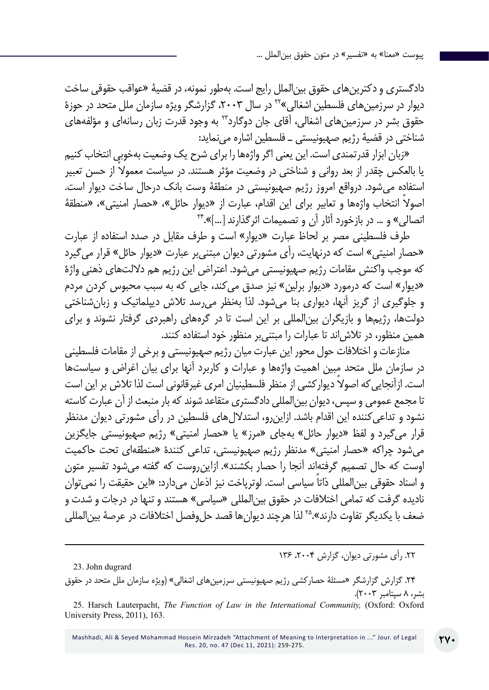دادگستری و دکترینهای حقوق بینالملل رایج است. بهطور نمونه، در قضیۀ »عواقب حقوقی ساخت دیوار در سرزمینهای فلسطین اشغالی»<sup>۲۲</sup> در سال ۲۰۰۳، گزارشگر ویژه سازمان ملل متحد در حوزهٔ حقوق بشر در سرزمینهای اشغالی، آقای جان دوگارد23 به وجود قدرت زبان رسانهای و مؤلفههای شناختی در قضیة رژیم صهیونیستی ـ فلسطین اشاره مینماید:

»زبان ابزار قدرتمندی است. این یعنی اگر واژهها را برای شرح یک وضعیت بهخوبی انتخاب کنیم ً یا بالعکس چقدر از بعد روانی و شناختی در وضعیت مؤثر هستند. در سیاست معموال از حسن تعبیر استفاده میشود. درواقع امروز رژیم صهیونیستی در منطقة وست بانک درحال ساخت دیوار است. اصولاً انتخاب واژهها و تعابیر برای این اقدام، عبارت از «دیوار حائل»، «حصار امنیتی»، «منطقهٔ<br>اتصالی» و … در بازخورد آثار آن و تصمیمات اثرگذارند […]».\*\*

طرف فلسطینی مصر بر لحاظ عبارت »دیوار« است و طرف مقابل در صدد استفاده از عبارت »حصار امنیتی« است که درنهایت، رأی مشورتی دیوان مبتنیبر عبارت »دیوار حائل« قرار میگیرد که موجب واکنش مقامات رژیم صهیونیستی میشود. اعتراض این رژیم هم داللتهای ذهنی واژة »دیوار« است که درمورد »دیوار برلین« نیز صدق میکند، جایی که به سبب محبوس کردن مردم و جلوگیری از گریز آنها، دیواری بنا میشود. لذا بهنظر میرسد تالش دیپلماتیک و زبانشناختی دولتها، رژیمها و بازیگران بینالمللی بر این است تا در گرههای راهبردی گرفتار نشوند و برای همین منظور، در تالشاند تا عبارات را مبتنیبر منظور خود استفاده کنند.

منازعات و اختالفات حول محور این عبارت میان رژیم صهیونیستی و برخی از مقامات فلسطینی در سازمان ملل متحد مبین اهمیت واژهها و عبارات و کاربرد آنها برای بیان اغراض و سیاستها است. ازآنجایی که اصولاً دیوارکشی از منظر فلسطینیان امری غیرقانونی است لذا تلاش بر این است تا مجمع عمومی و سپس، دیوان بینالمللی دادگستری متقاعد شوند که بار منبعث از آن عبارت کاسته نشود و تداعیکننده این اقدام باشد. ازاینرو، استداللهای فلسطین در رأی مشورتی دیوان مدنظر قرار می گیرد و لفظ «دیوار حائل» بهجای «مرز» یا «حصار امنیتی» رژیم صهیونیستی جایگزین میشود چراکه »حصار امنیتی« مدنظر رژیم صهیونیستی، تداعی کنندة »منطقهای تحت حاکمیت اوست که حال تصمیم گرفتهاند آنجا را حصار بکشند«. ازاینروست که گفته میشود تفسیر متون و اسناد حقوقی بین|لمللی ذاتاً سیاسی است. لوترپاخت نیز اذعان میدارد: «این حقیقت را نمی توان نادیده گرفت که تمامی اختلافات در حقوق بین|لمللی «سیاسی» هستند و تنها در درجات و شدت و ضعف با یکدیگر تفاوت دارند«25. لذا هرچند دیوانها قصد حلوفصل اختالفات در عرصة بینالمللی

.22 رأی مشورتی دیوان، گزارش ،2004 136

23. John dugrard

.24 گزارش گزارشگر »مسئلۀ حصارکشی رژیم صهیونیستی سرزمینهای اشغالی« )ویژه سازمان ملل متحد در حقوق بشر، 8 سپتامبر 2003(.

25. Harsch Lauterpacht, *The Function of Law in the International Community,* (Oxford: Oxford University Press, 2011), 163.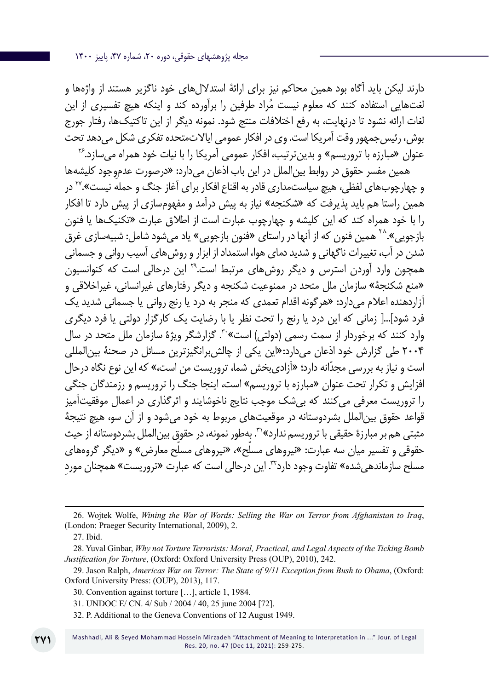دارند لیکن باید آگاه بود همین محاکم نیز برای ارائهٔ استدلال های خود ناگزیر هستند از واژهها و لغتهایی استفاده کنند که معلوم نیست مُراد طرفین را برآورده کند و اینکه هیچ تفسیری از این لغات ارائه نشود تا درنهایت، به رفع اختالفات منتج شود. نمونه دیگر از این تاکتیکها، رفتار جورج بوش، رئیسجمهور وقت آمریکا است. وی در افکار عمومی ایاالتمتحده تفکری شکل میدهد تحت عنوان »مبارزه با تروریسم« و بدینترتیب، افکار عمومی آمریکا را با نیات خود همراه میسازد26.

همین مفسر حقوق در روابط بینالملل در این باب اذعان میدارد: »درصورت عدمِوجود کلیشهها و چهارچوبهای لفظی، هیچ سیاستمداری قادر به اقناع افکار برای آغاز جنگ و حمله نیست«27. در همین راستا هم باید پذیرفت که »شکنجه« نیاز به پیش درآمد و مفهومسازی از پیش دارد تا افکار را با خود همراه کند که این کلیشه و چهارچوب عبارت است از اطالق عبارت »تکنیکها یا فنون بازجویی».^` همین فنون که از آنها در راستای «فنون بازجویی» یاد می شود شامل: شبیهسازی غرق شدن در آب، تغییرات ناگهانی و شدید دمای هوا، استمداد از ابزار و روشهای آسیب روانی و جسمانی همچون وارد آوردن استرس و دیگر روشهای مرتبط است29. این درحالی است که کنوانسیون «منع شکنجهٔ» سازمان ملل متحد در ممنوعیت شکنجه و دیگر رفتارهای غیرانسانی، غیراخلاقی و آزاردهنده اعالم میدارد: »هرگونه اقدام تعمدی که منجر به درد یا رنج روانی یا جسمانی شدید یک فرد شود[...] زمانی که این درد یا رنج را تحت نظر یا با رضایت یک کارگزار دولتی یا فرد دیگری وارد کنند که برخوردار از سمت رسمی (دولتی) است»<sup>.۳</sup>. گزارشگر ویژهٔ سازمان ملل متحد در سال 2004 طی گزارش خود اذعان میدارد:»این یکی از چالشبرانگیزترین مسائل در صحنة بینالمللی است و نیاز به بررسی مجدّانه دارد؛ «آزادیبخش شما، تروریست من است،» که این نوع نگاه درحال افزایش و تکرار تحت عنوان »مبارزه با تروریسم« است، اینجا جنگ را تروریسم و رزمندگان جنگی را تروریست معرفی میکنند که بیشک موجب نتایج ناخوشایند و اثرگذاری در اعمال موفقیتآمیز قواعد حقوق بینالملل بشردوستانه در موقعیتهای مربوط به خود میشود و از آن سو، هیچ نتیجة مثبتی هم بر مبارزة حقیقی با تروریسم ندارد»<sup>۳</sup>. بهطور نمونه، در حقوق بین|لملل بشردوستانه از حیث حقوقی و تفسیر میان سه عبارت: «نیروهای مسلّح»، «نیروهای مسلّح معارض» و «دیگر گروههای مسلح سازماندهی شده» تفاوت وجود دارد<sup>۳۲</sup>. این درحالی است که عبارت «تروریست» همچنان مورد

- 31. UNDOC E/ CN. 4/ Sub / 2004 / 40, 25 june 2004 [72].
- 32. P. Additional to the Geneva Conventions of 12 August 1949.

<sup>26.</sup> Wojtek Wolfe, *Wining the War of Words: Selling the War on Terror from Afghanistan to Iraq*, (London: Praeger Security International, 2009), 2.

<sup>27.</sup> Ibid.

<sup>28.</sup> Yuval Ginbar, *Why not Torture Terrorists: Moral, Practical, and Legal Aspects of the Ticking Bomb Justification for Torture*, (Oxford: Oxford University Press (OUP), 2010), 242.

<sup>29.</sup> Jason Ralph, *Americas War on Terror: The State of 9/11 Exception from Bush to Obama*, (Oxford: Oxford University Press: (OUP), 2013), 117.

<sup>30.</sup> Convention against torture […], article 1, 1984.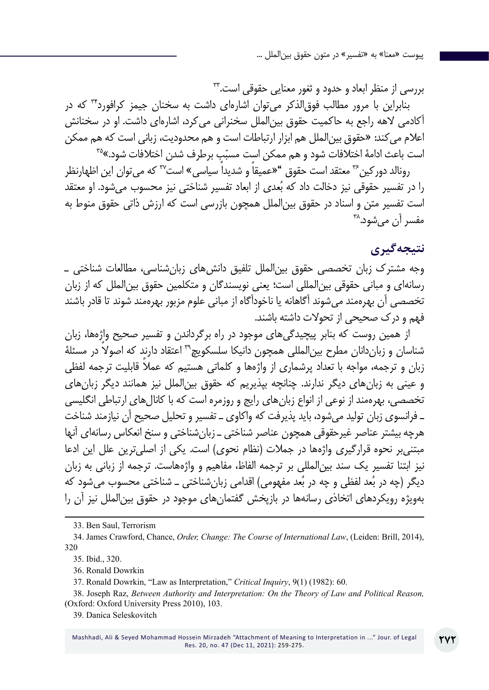بررسی از منظر ابعاد و حدود و ثغور معنایی حقوقی است33.

بنابراین با مرور مطالب فوقالذکر میتوان اشارهای داشت به سخنان جیمز کرافورد34 که در آکادمی الهه راجع به حاکمیت حقوق بینالملل سخنرانی میکرد، اشارهای داشت. او در سخنانش اعالم میکند: »حقوق بینالملل هم ابزار ارتباطات است و هم محدودیت، زبانی است که هم ممکن است باعث ادامهٔ اختلافات شود و هم ممکن است مسبّبٍ برطرف شدن اختلافات شود.»<sup>۳۵</sup>

رونالد دورکین<sup>۳۶</sup> معتقد است حقوق "«عمیقاً و شدیداً سیاسی» است<sup>۳۷</sup> که می توان این اظهارنظر را در تفسیر حقوقی نیز دخالت داد که بُعدی از ابعاد تفسیر شناختی نیز محسوب میشود. او معتقد است تفسیر متن و اسناد در حقوق بینالملل همچون بازرسی است که ارزش ذاتی حقوق منوط به مفسر آن می شود.^<sup>۳</sup>

## **نتیجهگیری**

وجه مشترک زبان تخصصی حقوق بین|لملل تلفیق دانش های زبان شناسی، مطالعات شناختی ــ رسانهای و مبانی حقوقی بینالمللی است؛ یعنی نویسندگان و متکلمین حقوق بینالملل که از زبان تخصصی آن بهرهمند میشوند آگاهانه یا ناخودآگاه از مبانی علوم مزبور بهرهمند شوند تا قادر باشند فهم و درک صحیحی از تحوالت داشته باشند.

از همین روست که بنابر پیچیدگیهای موجود در راه برگرداندن و تفسیر صحیح واژهها، زبان شناسان و زباندانان مطرح بینالمللی همچون دانیکا سلسکویچ39 ً اعتقاد دارند که اصوال در مسئلۀ زبان و ترجمه، مواجه با تعداد پرشماری از واژهها و کلماتی هستیم که عملاً قابلیت ترجمه لفظی و عینی به زبانهای دیگر ندارند. چنانچه بپذیریم که حقوق بینالملل نیز همانند دیگر زبانهای تخصصی، بهرهمند از نوعی از انواع زبانهای رایج و روزمره است که با کانالهای ارتباطی انگلیسی ـ فرانسوی زبان تولید میشود، باید پذیرفت که واکاوی ـ تفسیر و تحلیل صحیح آن نیازمند شناخت هرچه بیشتر عناصر غیرحقوقی همچون عناصر شناختی ـ زبانشناختی و سنخ انعکاس رسانهای آنها مبتنی بر نحوه قرارگیری واژهها در جملات (نظام نحوی) است. یکی از اصلی ترین علل این ادعا نیز ابتنا تفسیر یک سند بینالمللی بر ترجمه الفاظ، مفاهیم و واژههاست. ترجمه از زبانی به زبان دیگر (چه در بُعد لفظی و چه در بُعد مفهومی) اقدامی زبانشناختی ــ شناختی محسوب میشود که بهویژه رویکردهای اتخاذی رسانهها در بازپخش گفتمانهای موجود در حقوق بینالملل نیز آن را

33. Ben Saul, Terrorism

34. James Crawford, Chance, *Order, Change: The Course of International Law*, (Leiden: Brill, 2014), 320

35. Ibid., 320.

36. Ronald Dowrkin

37. Ronald Dowrkin, "Law as Interpretation," *Critical Inquiry*, 9(1) (1982): 60.

38. Joseph Raz, *Between Authority and Interpretation: On the Theory of Law and Political Reason,*  (Oxford: Oxford University Press 2010), 103.

39. Danica Seleskovitch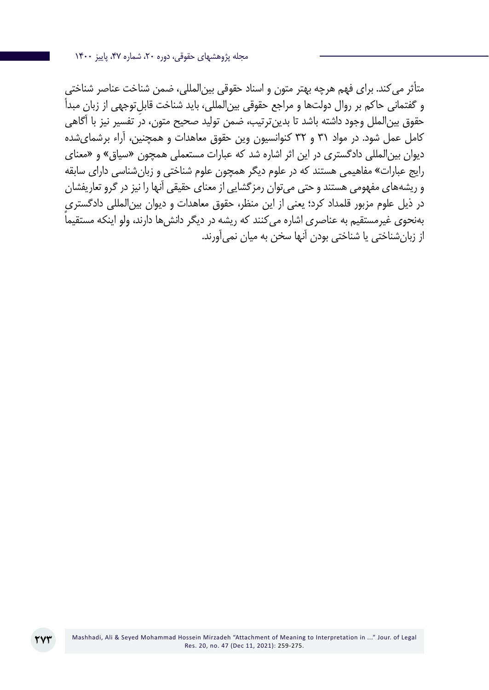مجله پژوهشهای حقوقی، دوره ،20 شماره ،47 پاییز 1400

متأثر میکند. برای فهم هرچه بهتر متون و اسناد حقوقی بینالمللی، ضمن شناخت عناصر شناختی و گفتمانی حاکم بر روال دولتها و مراجع حقوقی بینِ المللی، باید شناخت قابلتوجهی از زبان مبدأ حقوق بینالملل وجود داشته باشد تا بدینترتیب، ضمن تولید صحیح متون، در تفسیر نیز با آگاهی کامل عمل شود. در مواد 31 و 32 کنوانسیون وین حقوق معاهدات و همچنین، آراء برشمایشده دیوان بینالمللی دادگستری در این اثر اشاره شد که عبارات مستعملی همچون »سیاق« و »معنای رایج عبارات« مفاهیمی هستند که در علوم دیگر همچون علوم شناختی و زبانشناسی دارای سابقه و ریشههای مفهومی هستند و حتی میتوان رمزگشایی از معنای حقیقی آنها را نیز در گرو تعاریفشان در ذیل علوم مزبور قلمداد کرد؛ یعنی از این منظر، حقوق معاهدات و دیوان بینالمللی دادگستری بهنحوی غیرمستقیم به عناصری اشاره می کنند که ریشه در دیگر دانش ها دارند، ولو اینکه مستقیماً از زبانشناختی یا شناختی بودن آنها سخن به میان نمیآورند.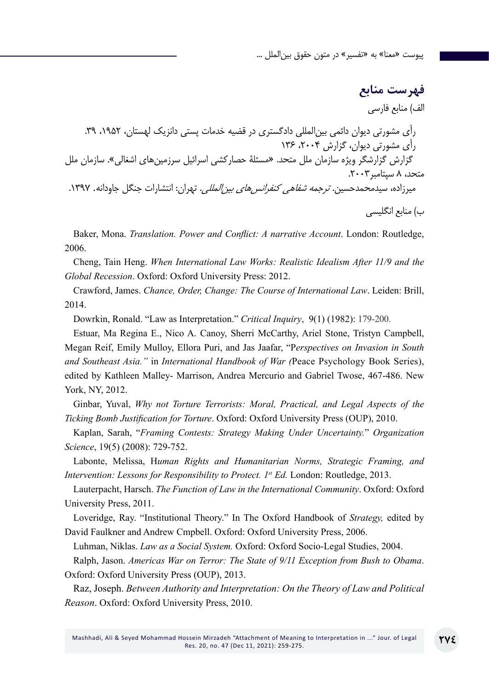**فهرست منابع** الف( منابع فارسی رأی مشورتی دیوان دائمی بینالمللی دادگستری در قضیه خدمات پستی دانزیک لهستان، ،1952 .39 رأی مشورتی دیوان، گزارش ،2004 136 گزارش گزارشگر ویژه سازمان ملل متحد. »مسئلة حصارکشی اسرائیل سرزمینهای اشغالی«. سازمان ملل متحد، 8 سپتامبر.2003 میرزاده، سیدمحمدحسین. ترجمه شفاهی کنفرانسهای بینالمللی. تهران: انتشارات جنگل جاودانه. .1397 ب( منابع انگلیسی

Baker, Mona. *Translation. Power and Conflict: A narrative Account*. London: Routledge, 2006.

Cheng, Tain Heng. *When International Law Works: Realistic Idealism After 11/9 and the Global Recession*. Oxford: Oxford University Press: 2012.

Crawford, James. *Chance, Order, Change: The Course of International Law*. Leiden: Brill, 2014.

Dowrkin, Ronald. "Law as Interpretation." *Critical Inquiry*, 9(1) (1982): 179-200.

Estuar, Ma Regina E., Nico A. Canoy, Sherri McCarthy, Ariel Stone, Tristyn Campbell, Megan Reif, Emily Mulloy, Ellora Puri, and Jas Jaafar, "P*erspectives on Invasion in South and Southeast Asia."* in *International Handbook of War (*Peace Psychology Book Series), edited by Kathleen Malley- Marrison, Andrea Mercurio and Gabriel Twose, 467-486. New York, NY, 2012.

Ginbar, Yuval, *Why not Torture Terrorists: Moral, Practical, and Legal Aspects of the Ticking Bomb Justification for Torture*. Oxford: Oxford University Press (OUP), 2010.

Kaplan, Sarah, "*Framing Contests: Strategy Making Under Uncertainty.*" *Organization Science*, 19(5) (2008): 729-752.

Labonte, Melissa, H*uman Rights and Humanitarian Norms, Strategic Framing, and Intervention: Lessons for Responsibility to Protect. 1<sup>st</sup> Ed. London: Routledge, 2013.* 

Lauterpacht, Harsch. *The Function of Law in the International Community*. Oxford: Oxford University Press, 2011.

Loveridge, Ray. "Institutional Theory." In The Oxford Handbook of *Strategy,* edited by David Faulkner and Andrew Cmpbell. Oxford: Oxford University Press, 2006.

Luhman, Niklas. *Law as a Social System.* Oxford: Oxford Socio-Legal Studies, 2004.

Ralph, Jason. *Americas War on Terror: The State of 9/11 Exception from Bush to Obama*. Oxford: Oxford University Press (OUP), 2013.

Raz, Joseph. *Between Authority and Interpretation: On the Theory of Law and Political Reason*. Oxford: Oxford University Press, 2010.